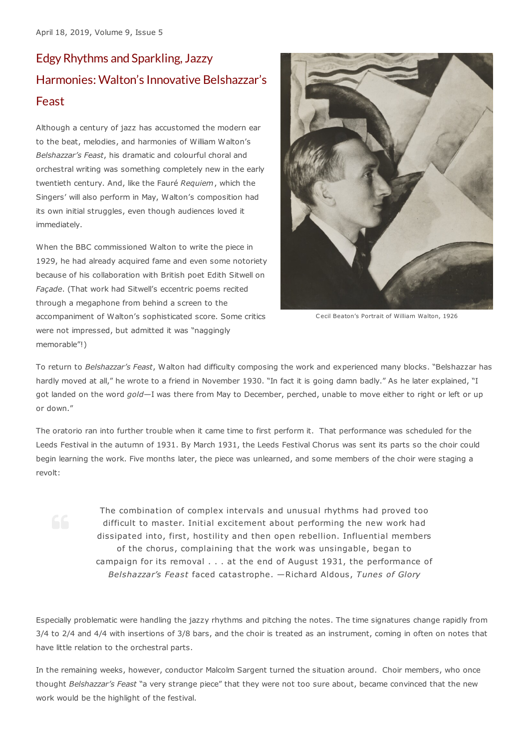## EdgyRhythms and Sparkling,Jazzy Harmonies: Walton's Innovative Belshazzar's Feast

Although a century of jazz has accustomed the modern ear to the beat, melodies, and harmonies of William Walton's *Belshazzar's Feast*, his dramatic and colourful choral and orchestral writing was something completely new in the early twentieth century. And, like the Fauré *Requiem*, which the Singers' will also perform in May, Walton's composition had its own initial struggles, even though audiences loved it immediately.

When the BBC commissioned Walton to write the piece in 1929, he had already acquired fame and even some notoriety because of his collaboration with British poet Edith Sitwell on *Façade*. (That work had Sitwell's eccentric poems recited through a megaphone from behind a screen to the accompaniment of Walton's sophisticated score. Some critics were not impressed, but admitted it was "naggingly memorable"!)



Cecil Beaton's Portrait of William Walton, 1926

To return to *Belshazzar's Feast*, Walton had difficulty composing the work and experienced many blocks. "Belshazzar has hardly moved at all," he wrote to a friend in November 1930. "In fact it is going damn badly." As he later explained, "I got landed on the word *gold*—I was there from May to December, perched, unable to move either to right or left or up or down."

The oratorio ran into further trouble when it came time to first perform it. That performance was scheduled for the Leeds Festival in the autumn of 1931. By March 1931, the Leeds Festival Chorus was sent its parts so the choir could begin learning the work. Five months later, the piece was unlearned, and some members of the choir were staging a revolt:

The combination of complex intervals and unusual rhythms had proved too difficult to master. Initial excitement about performing the new work had dissipated into, first, hostility and then open rebellion. Influential members of the chorus, complaining that the work was unsingable, began to campaign for its removal . . . at the end of August 1931, the performance of *Belshazzar's Feast* faced catastrophe. —Richard Aldous, *Tunes of Glory*

Especially problematic were handling the jazzy rhythms and pitching the notes. The time signatures change rapidly from 3/4 to 2/4 and 4/4 with insertions of 3/8 bars, and the choir is treated as an instrument, coming in often on notes that have little relation to the orchestral parts.

In the remaining weeks, however, conductor Malcolm Sargent turned the situation around. Choir members, who once thought *Belshazzar's Feast* "a very strange piece" that they were not too sure about, became convinced that the new work would be the highlight of the festival.